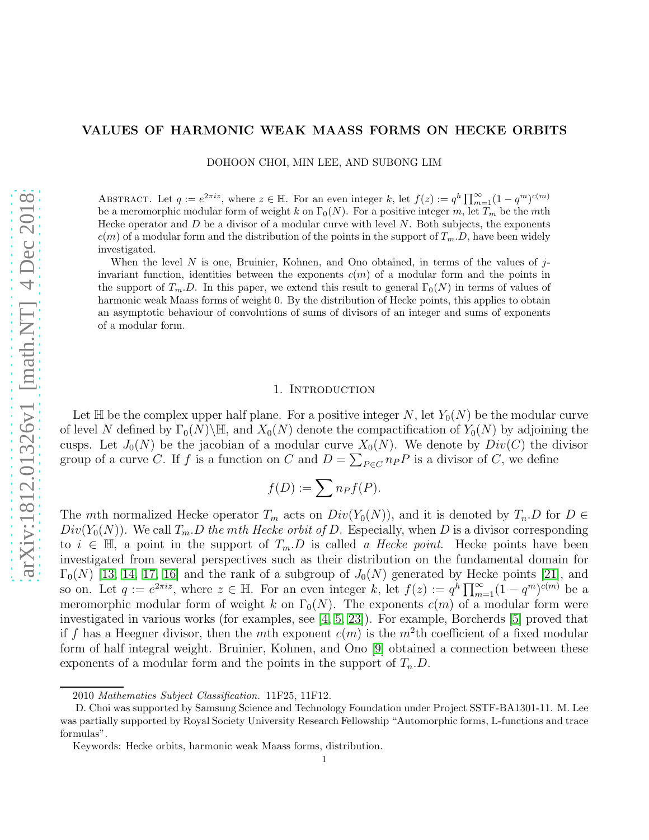## VALUES OF HARMONIC WEAK MAASS FORMS ON HECKE ORBITS

DOHOON CHOI, MIN LEE, AND SUBONG LIM

ABSTRACT. Let  $q := e^{2\pi i z}$ , where  $z \in \mathbb{H}$ . For an even integer k, let  $f(z) := q^h \prod_{m=1}^{\infty} (1 - q^m)^{c(m)}$ be a meromorphic modular form of weight k on  $\Gamma_0(N)$ . For a positive integer m, let  $T_m$  be the mth Hecke operator and  $D$  be a divisor of a modular curve with level  $N$ . Both subjects, the exponents  $c(m)$  of a modular form and the distribution of the points in the support of  $T_m.D$ , have been widely investigated.

When the level  $N$  is one, Bruinier, Kohnen, and Ono obtained, in terms of the values of  $j$ invariant function, identities between the exponents  $c(m)$  of a modular form and the points in the support of  $T_m$ . D. In this paper, we extend this result to general  $\Gamma_0(N)$  in terms of values of harmonic weak Maass forms of weight 0. By the distribution of Hecke points, this applies to obtain an asymptotic behaviour of convolutions of sums of divisors of an integer and sums of exponents of a modular form.

## 1. INTRODUCTION

<span id="page-0-0"></span>Let  $\mathbb H$  be the complex upper half plane. For a positive integer N, let  $Y_0(N)$  be the modular curve of level N defined by  $\Gamma_0(N)\backslash\mathbb{H}$ , and  $X_0(N)$  denote the compactification of  $Y_0(N)$  by adjoining the cusps. Let  $J_0(N)$  be the jacobian of a modular curve  $X_0(N)$ . We denote by  $Div(C)$  the divisor group of a curve C. If f is a function on C and  $D = \sum_{P \in C} n_P P$  is a divisor of C, we define

$$
f(D):=\sum n_Pf(P).
$$

The mth normalized Hecke operator  $T_m$  acts on  $Div(Y_0(N))$ , and it is denoted by  $T_n.D$  for  $D \in$  $Div(Y_0(N))$ . We call  $T_m.D$  the mth Hecke orbit of D. Especially, when D is a divisor corresponding to  $i \in \mathbb{H}$ , a point in the support of  $T_m.D$  is called a Hecke point. Hecke points have been investigated from several perspectives such as their distribution on the fundamental domain for  $\Gamma_0(N)$  [\[13,](#page-16-0) [14,](#page-16-1) [17,](#page-16-2) [16\]](#page-16-3) and the rank of a subgroup of  $J_0(N)$  generated by Hecke points [\[21\]](#page-16-4), and so on. Let  $q := e^{2\pi i z}$ , where  $z \in \mathbb{H}$ . For an even integer k, let  $f(z) := q^h \prod_{m=1}^{\infty} (1 - q^m)^{c(m)}$  be a meromorphic modular form of weight k on  $\Gamma_0(N)$ . The exponents  $c(m)$  of a modular form were investigated in various works (for examples, see [\[4,](#page-15-0) [5,](#page-15-1) [23\]](#page-16-5)). For example, Borcherds [\[5\]](#page-15-1) proved that if f has a Heegner divisor, then the mth exponent  $c(m)$  is the  $m^2$ th coefficient of a fixed modular form of half integral weight. Bruinier, Kohnen, and Ono [\[9\]](#page-15-2) obtained a connection between these exponents of a modular form and the points in the support of  $T_n.D$ .

<sup>2010</sup> *Mathematics Subject Classification.* 11F25, 11F12.

D. Choi was supported by Samsung Science and Technology Foundation under Project SSTF-BA1301-11. M. Lee was partially supported by Royal Society University Research Fellowship "Automorphic forms, L-functions and trace formulas".

Keywords: Hecke orbits, harmonic weak Maass forms, distribution.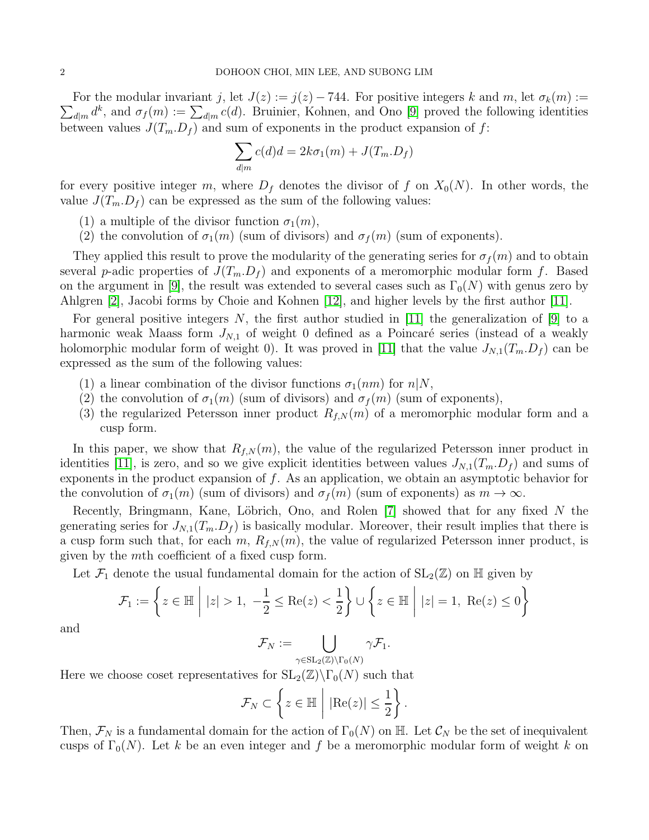$\sum_{d|m} d^k$ , and  $\sigma_f(m) := \sum_{d|m} c(d)$ . Bruinier, Kohnen, and Ono [\[9\]](#page-15-2) proved the following identities For the modular invariant j, let  $J(z) := j(z) - 744$ . For positive integers k and m, let  $\sigma_k(m) :=$ between values  $J(T_m, D_f)$  and sum of exponents in the product expansion of f:

$$
\sum_{d|m} c(d)d = 2k\sigma_1(m) + J(T_m.D_f)
$$

for every positive integer m, where  $D_f$  denotes the divisor of f on  $X_0(N)$ . In other words, the value  $J(T_m.D_f)$  can be expressed as the sum of the following values:

- (1) a multiple of the divisor function  $\sigma_1(m)$ ,
- (2) the convolution of  $\sigma_1(m)$  (sum of divisors) and  $\sigma_f(m)$  (sum of exponents).

They applied this result to prove the modularity of the generating series for  $\sigma_f(m)$  and to obtain several p-adic properties of  $J(T_m, D_f)$  and exponents of a meromorphic modular form f. Based on the argument in [\[9\]](#page-15-2), the result was extended to several cases such as  $\Gamma_0(N)$  with genus zero by Ahlgren [\[2\]](#page-15-3), Jacobi forms by Choie and Kohnen [\[12\]](#page-16-6), and higher levels by the first author [\[11\]](#page-15-4).

For general positive integers N, the first author studied in [\[11\]](#page-15-4) the generalization of [\[9\]](#page-15-2) to a harmonic weak Maass form  $J_{N,1}$  of weight 0 defined as a Poincaré series (instead of a weakly holomorphic modular form of weight 0). It was proved in [\[11\]](#page-15-4) that the value  $J_{N,1}(T_m.D_f)$  can be expressed as the sum of the following values:

- (1) a linear combination of the divisor functions  $\sigma_1(nm)$  for  $n|N$ ,
- (2) the convolution of  $\sigma_1(m)$  (sum of divisors) and  $\sigma_f(m)$  (sum of exponents),
- (3) the regularized Petersson inner product  $R_{f,N}(m)$  of a meromorphic modular form and a cusp form.

In this paper, we show that  $R_{f,N}(m)$ , the value of the regularized Petersson inner product in identities [\[11\]](#page-15-4), is zero, and so we give explicit identities between values  $J_{N,1}(T_m.D_f)$  and sums of exponents in the product expansion of  $f$ . As an application, we obtain an asymptotic behavior for the convolution of  $\sigma_1(m)$  (sum of divisors) and  $\sigma_f(m)$  (sum of exponents) as  $m \to \infty$ .

Recently, Bringmann, Kane, Löbrich, Ono, and Rolen  $[7]$  showed that for any fixed N the generating series for  $J_{N,1}(T_m, D_f)$  is basically modular. Moreover, their result implies that there is a cusp form such that, for each m,  $R_{f,N}(m)$ , the value of regularized Petersson inner product, is given by the mth coefficient of a fixed cusp form.

Let  $\mathcal{F}_1$  denote the usual fundamental domain for the action of  $SL_2(\mathbb{Z})$  on H given by

$$
\mathcal{F}_1 := \left\{ z \in \mathbb{H} \mid |z| > 1, -\frac{1}{2} \le \text{Re}(z) < \frac{1}{2} \right\} \cup \left\{ z \in \mathbb{H} \mid |z| = 1, \text{ Re}(z) \le 0 \right\}
$$

and

$$
\mathcal{F}_N:=\bigcup_{\gamma\in\mathrm{SL}_2(\mathbb{Z})\backslash\Gamma_0(N)}\gamma\mathcal{F}_1.
$$

Here we choose coset representatives for  $SL_2(\mathbb{Z})\backslash\Gamma_0(N)$  such that

$$
\mathcal{F}_N \subset \left\{ z \in \mathbb{H} \; \middle| \; |\text{Re}(z)| \leq \frac{1}{2} \right\}.
$$

Then,  $\mathcal{F}_N$  is a fundamental domain for the action of  $\Gamma_0(N)$  on H. Let  $\mathcal{C}_N$  be the set of inequivalent cusps of  $\Gamma_0(N)$ . Let k be an even integer and f be a meromorphic modular form of weight k on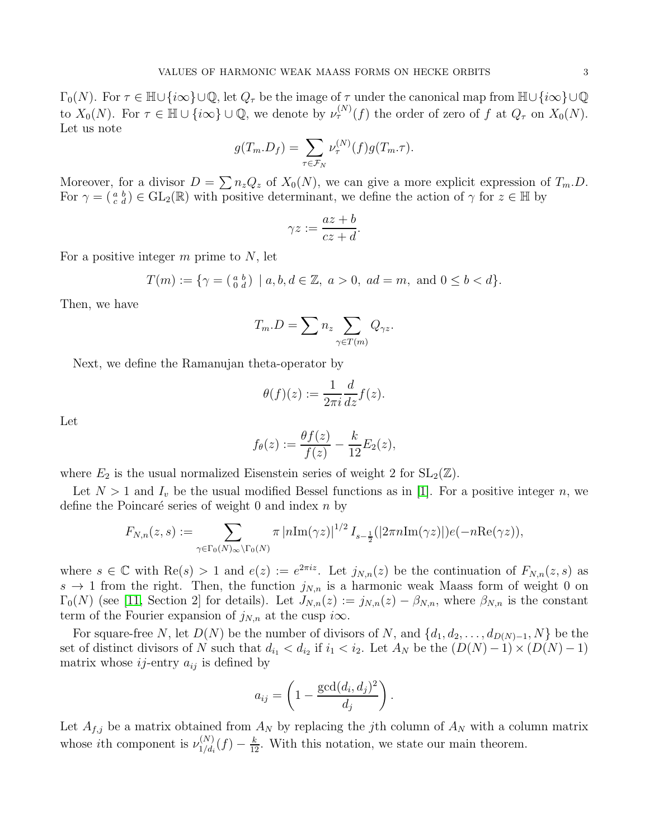$\Gamma_0(N)$ . For  $\tau \in \mathbb{H} \cup \{i\infty\} \cup \mathbb{Q}$ , let  $Q_\tau$  be the image of  $\tau$  under the canonical map from  $\mathbb{H} \cup \{i\infty\} \cup \mathbb{Q}$ to  $X_0(N)$ . For  $\tau \in \mathbb{H} \cup \{i\infty\} \cup \mathbb{Q}$ , we denote by  $\nu_{\tau}^{(N)}(f)$  the order of zero of f at  $Q_{\tau}$  on  $X_0(N)$ . Let us note

$$
g(T_m.D_f) = \sum_{\tau \in \mathcal{F}_N} \nu_{\tau}^{(N)}(f) g(T_m.\tau).
$$

Moreover, for a divisor  $D = \sum n_z Q_z$  of  $X_0(N)$ , we can give a more explicit expression of  $T_m.D$ . For  $\gamma = \begin{pmatrix} a & b \\ c & d \end{pmatrix} \in GL_2(\mathbb{R})$  with positive determinant, we define the action of  $\gamma$  for  $z \in \mathbb{H}$  by

$$
\gamma z := \frac{az + b}{cz + d}.
$$

For a positive integer  $m$  prime to  $N$ , let

$$
T(m) := \{ \gamma = \left( \begin{smallmatrix} a & b \\ 0 & d \end{smallmatrix} \right) \mid a, b, d \in \mathbb{Z}, \ a > 0, \ ad = m, \ \text{and} \ 0 \leq b < d \}.
$$

Then, we have

$$
T_m.D = \sum n_z \sum_{\gamma \in T(m)} Q_{\gamma z}.
$$

Next, we define the Ramanujan theta-operator by

$$
\theta(f)(z) := \frac{1}{2\pi i} \frac{d}{dz} f(z).
$$

Let

$$
f_{\theta}(z) := \frac{\theta f(z)}{f(z)} - \frac{k}{12} E_2(z),
$$

where  $E_2$  is the usual normalized Eisenstein series of weight 2 for  $SL_2(\mathbb{Z})$ .

Let  $N > 1$  and  $I_v$  be the usual modified Bessel functions as in [\[1\]](#page-15-6). For a positive integer n, we define the Poincaré series of weight 0 and index  $n$  by

$$
F_{N,n}(z,s) := \sum_{\gamma \in \Gamma_0(N) \infty \backslash \Gamma_0(N)} \pi |n\mathrm{Im}(\gamma z)|^{1/2} I_{s-\frac{1}{2}}(|2\pi n\mathrm{Im}(\gamma z)|) e(-n\mathrm{Re}(\gamma z)),
$$

where  $s \in \mathbb{C}$  with  $\text{Re}(s) > 1$  and  $e(z) := e^{2\pi i z}$ . Let  $j_{N,n}(z)$  be the continuation of  $F_{N,n}(z,s)$  as  $s \to 1$  from the right. Then, the function  $j_{N,n}$  is a harmonic weak Maass form of weight 0 on  $\Gamma_0(N)$  (see [\[11,](#page-15-4) Section 2] for details). Let  $J_{N,n}(z) := j_{N,n}(z) - \beta_{N,n}$ , where  $\beta_{N,n}$  is the constant term of the Fourier expansion of  $j_{N,n}$  at the cusp  $i\infty$ .

For square-free N, let  $D(N)$  be the number of divisors of N, and  $\{d_1, d_2, \ldots, d_{D(N)-1}, N\}$  be the set of distinct divisors of N such that  $d_{i_1} < d_{i_2}$  if  $i_1 < i_2$ . Let  $A_N$  be the  $(D(N) - 1) \times (D(N) - 1)$ matrix whose  $ij$ -entry  $a_{ij}$  is defined by

$$
a_{ij} = \left(1 - \frac{\gcd(d_i, d_j)^2}{d_j}\right).
$$

Let  $A_{f,j}$  be a matrix obtained from  $A_N$  by replacing the jth column of  $A_N$  with a column matrix whose *i*th component is  $\nu_{1/d}^{(N)}$  $\frac{N(N)}{1/d_i}(f) - \frac{k}{12}$ . With this notation, we state our main theorem.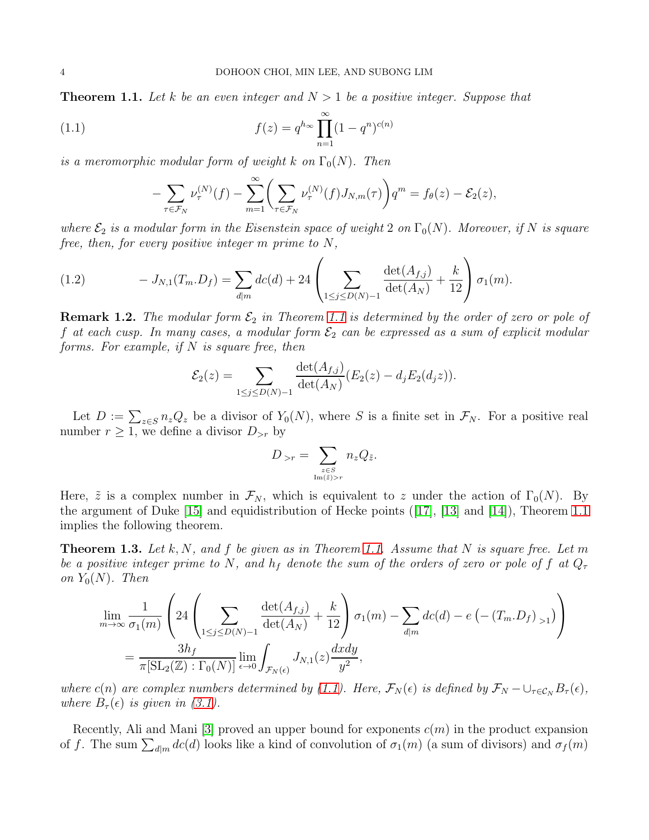<span id="page-3-0"></span>**Theorem 1.1.** Let k be an even integer and  $N > 1$  be a positive integer. Suppose that

(1.1) 
$$
f(z) = q^{h_{\infty}} \prod_{n=1}^{\infty} (1 - q^n)^{c(n)}
$$

is a meromorphic modular form of weight k on  $\Gamma_0(N)$ . Then

<span id="page-3-1"></span>
$$
-\sum_{\tau \in \mathcal{F}_N} \nu_{\tau}^{(N)}(f) - \sum_{m=1}^{\infty} \left( \sum_{\tau \in \mathcal{F}_N} \nu_{\tau}^{(N)}(f) J_{N,m}(\tau) \right) q^m = f_{\theta}(z) - \mathcal{E}_2(z),
$$

where  $\mathcal{E}_2$  is a modular form in the Eisenstein space of weight 2 on  $\Gamma_0(N)$ . Moreover, if N is square free, then, for every positive integer m prime to N,

<span id="page-3-3"></span>(1.2) 
$$
-J_{N,1}(T_m.D_f) = \sum_{d|m} dc(d) + 24 \left( \sum_{1 \le j \le D(N)-1} \frac{\det(A_{f,j})}{\det(A_N)} + \frac{k}{12} \right) \sigma_1(m).
$$

**Remark 1.2.** The modular form  $\mathcal{E}_2$  in Theorem [1.1](#page-3-0) is determined by the order of zero or pole of f at each cusp. In many cases, a modular form  $\mathcal{E}_2$  can be expressed as a sum of explicit modular forms. For example, if  $N$  is square free, then

$$
\mathcal{E}_2(z) = \sum_{1 \le j \le D(N)-1} \frac{\det(A_{f,j})}{\det(A_N)} (E_2(z) - d_j E_2(d_j z)).
$$

Let  $D := \sum_{z \in S} n_z Q_z$  be a divisor of  $Y_0(N)$ , where S is a finite set in  $\mathcal{F}_N$ . For a positive real number  $r \geq 1$ , we define a divisor  $D_{>r}$  by

$$
D_{>r} = \sum_{z \in S \atop \text{Im}(\tilde{z}) > r} n_z Q_{\tilde{z}}.
$$

Here,  $\tilde{z}$  is a complex number in  $\mathcal{F}_N$ , which is equivalent to z under the action of  $\Gamma_0(N)$ . By the argument of Duke [\[15\]](#page-16-7) and equidistribution of Hecke points([\[17\]](#page-16-2), [\[13\]](#page-16-0) and [\[14\]](#page-16-1)), Theorem [1.1](#page-3-0) implies the following theorem.

<span id="page-3-2"></span>**Theorem 1.3.** Let k, N, and f be given as in Theorem [1.1.](#page-3-0) Assume that N is square free. Let m be a positive integer prime to N, and  $h_f$  denote the sum of the orders of zero or pole of f at  $Q_\tau$ on  $Y_0(N)$ . Then

$$
\lim_{m \to \infty} \frac{1}{\sigma_1(m)} \left( 24 \left( \sum_{1 \le j \le D(N)-1} \frac{\det(A_{f,j})}{\det(A_N)} + \frac{k}{12} \right) \sigma_1(m) - \sum_{d|m} dc(d) - e \left( -\left(T_m \cdot D_f\right)_{>1} \right) \right)
$$
\n
$$
= \frac{3h_f}{\pi[\text{SL}_2(\mathbb{Z}) : \Gamma_0(N)]} \lim_{\epsilon \to 0} \int_{\mathcal{F}_N(\epsilon)} J_{N,1}(z) \frac{dxdy}{y^2},
$$

where c(n) are complex numbers determined by [\(1.1\)](#page-3-1). Here,  $\mathcal{F}_N(\epsilon)$  is defined by  $\mathcal{F}_N - \cup_{\tau \in \mathcal{C}_N} B_{\tau}(\epsilon)$ , where  $B_{\tau}(\epsilon)$  is given in [\(3.1\)](#page-5-0).

Recently, Ali and Mani [\[3\]](#page-15-7) proved an upper bound for exponents  $c(m)$  in the product expansion of f. The sum  $\sum_{d|m} dc(d)$  looks like a kind of convolution of  $\sigma_1(m)$  (a sum of divisors) and  $\sigma_f(m)$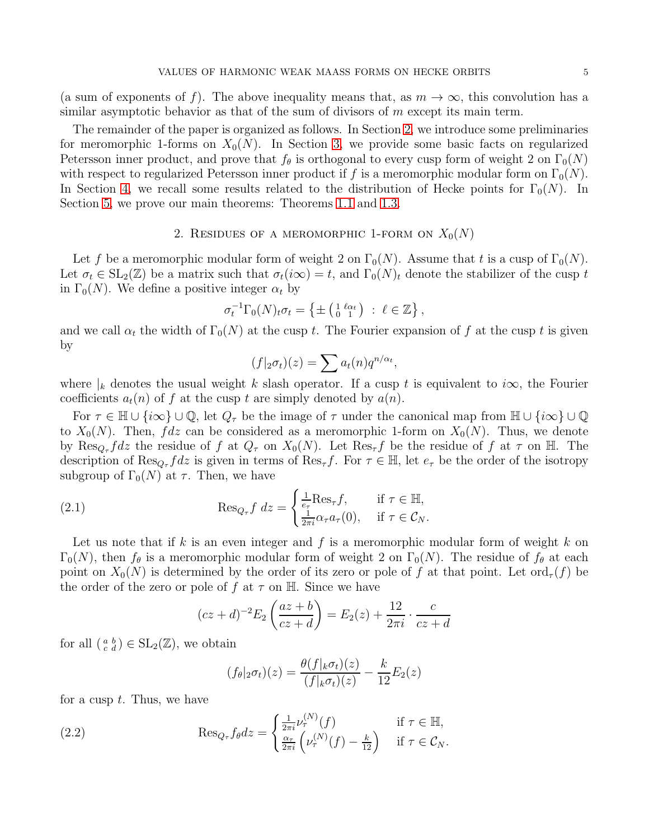(a sum of exponents of f). The above inequality means that, as  $m \to \infty$ , this convolution has a similar asymptotic behavior as that of the sum of divisors of  $m$  except its main term.

The remainder of the paper is organized as follows. In Section [2,](#page-4-0) we introduce some preliminaries for meromorphic 1-forms on  $X_0(N)$ . In Section [3,](#page-5-1) we provide some basic facts on regularized Petersson inner product, and prove that  $f_{\theta}$  is orthogonal to every cusp form of weight 2 on  $\Gamma_0(N)$ with respect to regularized Petersson inner product if f is a meromorphic modular form on  $\Gamma_0(N)$ . In Section [4,](#page-7-0) we recall some results related to the distribution of Hecke points for  $\Gamma_0(N)$ . In Section [5,](#page-8-0) we prove our main theorems: Theorems [1.1](#page-3-0) and [1.3.](#page-3-2)

## 2. RESIDUES OF A MEROMORPHIC 1-FORM ON  $X_0(N)$

<span id="page-4-0"></span>Let f be a meromorphic modular form of weight 2 on  $\Gamma_0(N)$ . Assume that t is a cusp of  $\Gamma_0(N)$ . Let  $\sigma_t \in SL_2(\mathbb{Z})$  be a matrix such that  $\sigma_t(i\infty) = t$ , and  $\Gamma_0(N)_t$  denote the stabilizer of the cusp t in  $\Gamma_0(N)$ . We define a positive integer  $\alpha_t$  by

$$
\sigma_t^{-1} \Gamma_0(N)_t \sigma_t = \left\{ \pm \left( \begin{smallmatrix} 1 & \ell \alpha_t \\ 0 & 1 \end{smallmatrix} \right) : \ell \in \mathbb{Z} \right\},\
$$

and we call  $\alpha_t$  the width of  $\Gamma_0(N)$  at the cusp t. The Fourier expansion of f at the cusp t is given by

$$
(f|_2 \sigma_t)(z) = \sum a_t(n) q^{n/\alpha_t},
$$

where  $|k|$  denotes the usual weight k slash operator. If a cusp t is equivalent to i $\infty$ , the Fourier coefficients  $a_t(n)$  of f at the cusp t are simply denoted by  $a(n)$ .

For  $\tau \in \mathbb{H} \cup \{i\infty\} \cup \mathbb{Q}$ , let  $Q_{\tau}$  be the image of  $\tau$  under the canonical map from  $\mathbb{H} \cup \{i\infty\} \cup \mathbb{Q}$ to  $X_0(N)$ . Then,  $fdz$  can be considered as a meromorphic 1-form on  $X_0(N)$ . Thus, we denote by  $\text{Res}_{Q_{\tau}} f dz$  the residue of f at  $Q_{\tau}$  on  $X_0(N)$ . Let  $\text{Res}_{\tau} f$  be the residue of f at  $\tau$  on H. The description of  $\text{Res}_{Q_{\tau}} f dz$  is given in terms of  $\text{Res}_{\tau} f$ . For  $\tau \in \mathbb{H}$ , let  $e_{\tau}$  be the order of the isotropy subgroup of  $\Gamma_0(N)$  at  $\tau$ . Then, we have

(2.1) 
$$
\operatorname{Res}_{Q_{\tau}} f \, dz = \begin{cases} \frac{1}{e_{\tau}} \operatorname{Res}_{\tau} f, & \text{if } \tau \in \mathbb{H}, \\ \frac{1}{2\pi i} \alpha_{\tau} a_{\tau}(0), & \text{if } \tau \in \mathcal{C}_N. \end{cases}
$$

Let us note that if k is an even integer and f is a meromorphic modular form of weight k on  $\Gamma_0(N)$ , then  $f_\theta$  is a meromorphic modular form of weight 2 on  $\Gamma_0(N)$ . The residue of  $f_\theta$  at each point on  $X_0(N)$  is determined by the order of its zero or pole of f at that point. Let ord<sub> $\tau$ </sub>(f) be the order of the zero or pole of f at  $\tau$  on H. Since we have

<span id="page-4-1"></span>
$$
(cz+d)^{-2}E_2\left(\frac{az+b}{cz+d}\right) = E_2(z) + \frac{12}{2\pi i} \cdot \frac{c}{cz+d}
$$

for all  $\left(\begin{smallmatrix} a & b \\ c & d \end{smallmatrix}\right) \in SL_2(\mathbb{Z})$ , we obtain

<span id="page-4-2"></span>
$$
(f_{\theta}|_2 \sigma_t)(z) = \frac{\theta(f|_k \sigma_t)(z)}{(f|_k \sigma_t)(z)} - \frac{k}{12} E_2(z)
$$

for a cusp  $t$ . Thus, we have

(2.2) 
$$
\operatorname{Res}_{Q_{\tau}} f_{\theta} dz = \begin{cases} \frac{1}{2\pi i} \nu_{\tau}^{(N)}(f) & \text{if } \tau \in \mathbb{H}, \\ \frac{\alpha_{\tau}}{2\pi i} \left( \nu_{\tau}^{(N)}(f) - \frac{k}{12} \right) & \text{if } \tau \in \mathcal{C}_{N}. \end{cases}
$$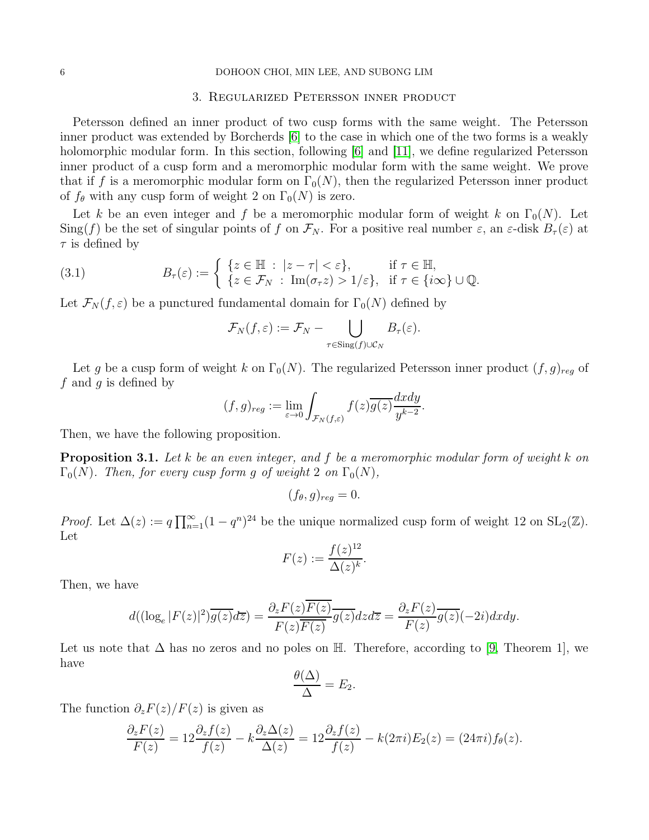#### <span id="page-5-1"></span>6 DOHOON CHOI, MIN LEE, AND SUBONG LIM

#### 3. Regularized Petersson inner product

Petersson defined an inner product of two cusp forms with the same weight. The Petersson inner product was extended by Borcherds [\[6\]](#page-15-8) to the case in which one of the two forms is a weakly holomorphic modular form. In this section, following [\[6\]](#page-15-8) and [\[11\]](#page-15-4), we define regularized Petersson inner product of a cusp form and a meromorphic modular form with the same weight. We prove that if f is a meromorphic modular form on  $\Gamma_0(N)$ , then the regularized Petersson inner product of  $f_{\theta}$  with any cusp form of weight 2 on  $\Gamma_0(N)$  is zero.

Let k be an even integer and f be a meromorphic modular form of weight k on  $\Gamma_0(N)$ . Let  $\text{Sing}(f)$  be the set of singular points of f on  $\mathcal{F}_N$ . For a positive real number  $\varepsilon$ , an  $\varepsilon$ -disk  $B_\tau(\varepsilon)$  at  $\tau$  is defined by

(3.1) 
$$
B_{\tau}(\varepsilon) := \begin{cases} \{z \in \mathbb{H} : |z - \tau| < \varepsilon\}, & \text{if } \tau \in \mathbb{H}, \\ \{z \in \mathcal{F}_N : \operatorname{Im}(\sigma_\tau z) > 1/\varepsilon\}, & \text{if } \tau \in \{i\infty\} \cup \mathbb{Q}. \end{cases}
$$

Let  $\mathcal{F}_N(f,\varepsilon)$  be a punctured fundamental domain for  $\Gamma_0(N)$  defined by

<span id="page-5-0"></span>
$$
\mathcal{F}_N(f,\varepsilon):=\mathcal{F}_N-\bigcup_{\tau\in\mathrm{Sing}(f)\cup\mathcal{C}_N}B_\tau(\varepsilon).
$$

Let g be a cusp form of weight k on  $\Gamma_0(N)$ . The regularized Petersson inner product  $(f, g)_{reg}$  of  $f$  and  $g$  is defined by

$$
(f,g)_{reg} := \lim_{\varepsilon \to 0} \int_{\mathcal{F}_N(f,\varepsilon)} f(z) \overline{g(z)} \frac{dxdy}{y^{k-2}}.
$$

Then, we have the following proposition.

<span id="page-5-2"></span>**Proposition 3.1.** Let k be an even integer, and f be a meromorphic modular form of weight k on  $\Gamma_0(N)$ . Then, for every cusp form g of weight 2 on  $\Gamma_0(N)$ ,

$$
(f_{\theta}, g)_{reg} = 0.
$$

*Proof.* Let  $\Delta(z) := q \prod_{n=1}^{\infty} (1 - q^n)^{24}$  be the unique normalized cusp form of weight 12 on  $SL_2(\mathbb{Z})$ . Let

$$
F(z) := \frac{f(z)^{12}}{\Delta(z)^k}.
$$

Then, we have

$$
d((\log_e|F(z)|^2)\overline{g(z)}d\overline{z})=\frac{\partial_zF(z)\overline{F(z)}}{F(z)\overline{F(z)}}\overline{g(z)}dzd\overline{z}=\frac{\partial_zF(z)}{F(z)}\overline{g(z)}(-2i)dxdy.
$$

Let us note that  $\Delta$  has no zeros and no poles on H. Therefore, according to [\[9,](#page-15-2) Theorem 1], we have

$$
\frac{\theta(\Delta)}{\Delta} = E_2.
$$

The function  $\partial_z F(z)/F(z)$  is given as

$$
\frac{\partial_z F(z)}{F(z)} = 12 \frac{\partial_z f(z)}{f(z)} - k \frac{\partial_z \Delta(z)}{\Delta(z)} = 12 \frac{\partial_z f(z)}{f(z)} - k(2\pi i) E_2(z) = (24\pi i) f_\theta(z).
$$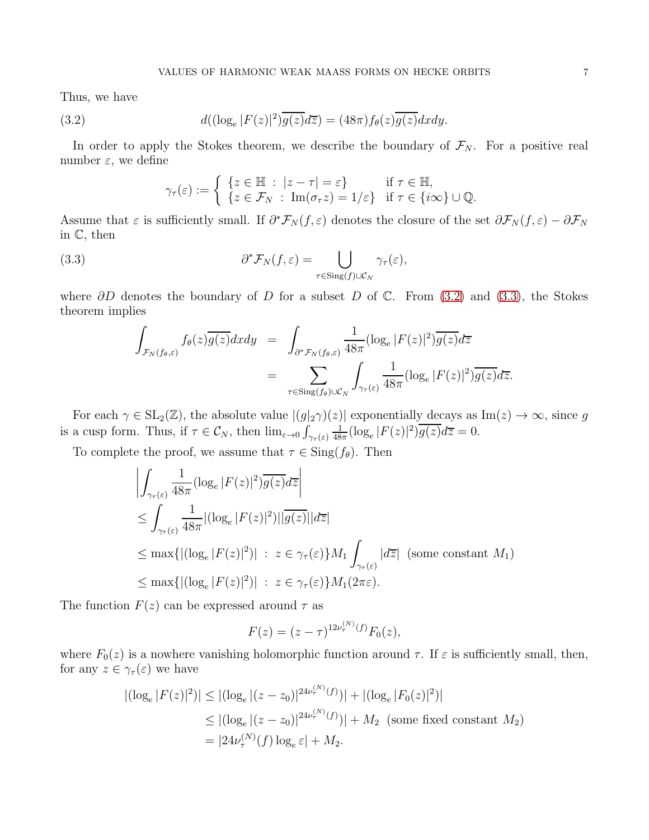Thus, we have

(3.2) 
$$
d((\log_e |F(z)|^2)\overline{g(z)}d\overline{z}) = (48\pi)f_\theta(z)\overline{g(z)}dxdy.
$$

In order to apply the Stokes theorem, we describe the boundary of  $\mathcal{F}_N$ . For a positive real number  $\varepsilon$ , we define

<span id="page-6-1"></span><span id="page-6-0"></span>
$$
\gamma_{\tau}(\varepsilon) := \begin{cases} \{z \in \mathbb{H} : |z - \tau| = \varepsilon\} & \text{if } \tau \in \mathbb{H}, \\ \{z \in \mathcal{F}_N : \operatorname{Im}(\sigma_\tau z) = 1/\varepsilon\} & \text{if } \tau \in \{i\infty\} \cup \mathbb{Q}. \end{cases}
$$

Assume that  $\varepsilon$  is sufficiently small. If  $\partial^* \mathcal{F}_N(f, \varepsilon)$  denotes the closure of the set  $\partial \mathcal{F}_N(f, \varepsilon) - \partial \mathcal{F}_N$ in C, then

(3.3) 
$$
\partial^* \mathcal{F}_N(f, \varepsilon) = \bigcup_{\tau \in \text{Sing}(f) \cup \mathcal{C}_N} \gamma_\tau(\varepsilon),
$$

where  $\partial D$  denotes the boundary of D for a subset D of C. From [\(3.2\)](#page-6-0) and [\(3.3\)](#page-6-1), the Stokes theorem implies

$$
\int_{\mathcal{F}_N(f_\theta,\varepsilon)} f_\theta(z) \overline{g(z)} dx dy = \int_{\partial^* \mathcal{F}_N(f_\theta,\varepsilon)} \frac{1}{48\pi} (\log_e |F(z)|^2) \overline{g(z)} dz
$$
  

$$
= \sum_{\tau \in \text{Sing}(f_\theta) \cup \mathcal{C}_N} \int_{\gamma_\tau(\varepsilon)} \frac{1}{48\pi} (\log_e |F(z)|^2) \overline{g(z)} dz.
$$

For each  $\gamma \in SL_2(\mathbb{Z})$ , the absolute value  $|(g|_2\gamma)(z)|$  exponentially decays as  $Im(z) \to \infty$ , since g is a cusp form. Thus, if  $\tau \in \mathcal{C}_N$ , then  $\lim_{\varepsilon \to 0} \int_{\gamma_\tau(\varepsilon)}$ 1  $\frac{1}{48\pi} (\log_e |F(z)|^2) \overline{g(z)} d\overline{z} = 0.$ 

To complete the proof, we assume that  $\tau \in \text{Sing}(f_{\theta})$ . Then

$$
\left| \int_{\gamma_{\tau}(\varepsilon)} \frac{1}{48\pi} (\log_e |F(z)|^2) \overline{g(z)} dz \right|
$$
  
\n
$$
\leq \int_{\gamma_{\tau}(\varepsilon)} \frac{1}{48\pi} |(\log_e |F(z)|^2) | |\overline{g(z)}| |dz|
$$
  
\n
$$
\leq \max \{ |(\log_e |F(z)|^2) | : z \in \gamma_{\tau}(\varepsilon) \} M_1 \int_{\gamma_{\tau}(\varepsilon)} |dz| \text{ (some constant } M_1)
$$
  
\n
$$
\leq \max \{ |(\log_e |F(z)|^2) | : z \in \gamma_{\tau}(\varepsilon) \} M_1(2\pi\varepsilon).
$$

The function  $F(z)$  can be expressed around  $\tau$  as

$$
F(z) = (z - \tau)^{12\nu_{\tau}^{(N)}(f)} F_0(z),
$$

where  $F_0(z)$  is a nowhere vanishing holomorphic function around  $\tau$ . If  $\varepsilon$  is sufficiently small, then, for any  $z \in \gamma_\tau(\varepsilon)$  we have

$$
|(\log_e |F(z)|^2)| \le |(\log_e |(z - z_0)|^{24\nu_\tau^{(N)}(f)})| + |(\log_e |F_0(z)|^2)|
$$
  
\n
$$
\le |(\log_e |(z - z_0)|^{24\nu_\tau^{(N)}(f)})| + M_2 \text{ (some fixed constant } M_2)
$$
  
\n
$$
= |24\nu_\tau^{(N)}(f) \log_e \varepsilon| + M_2.
$$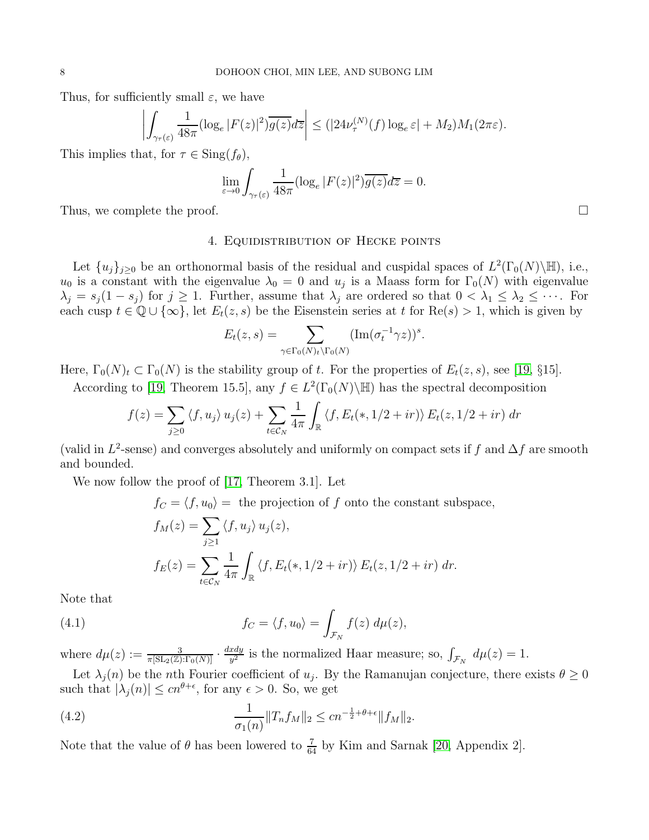Thus, for sufficiently small  $\varepsilon$ , we have

$$
\left| \int_{\gamma_{\tau}(\varepsilon)} \frac{1}{48\pi} (\log_e |F(z)|^2) \overline{g(z)} d\overline{z} \right| \le (|24\nu_{\tau}^{(N)}(f) \log_e \varepsilon| + M_2) M_1(2\pi\varepsilon).
$$

This implies that, for  $\tau \in \text{Sing}(f_{\theta}),$ 

$$
\lim_{\varepsilon \to 0} \int_{\gamma_{\tau}(\varepsilon)} \frac{1}{48\pi} (\log_e |F(z)|^2) \overline{g(z)} d\overline{z} = 0.
$$

<span id="page-7-0"></span>Thus, we complete the proof.

## 4. Equidistribution of Hecke points

Let  $\{u_j\}_{j\geq 0}$  be an orthonormal basis of the residual and cuspidal spaces of  $L^2(\Gamma_0(N)\backslash\mathbb{H})$ , i.e.,  $u_0$  is a constant with the eigenvalue  $\lambda_0 = 0$  and  $u_j$  is a Maass form for  $\Gamma_0(N)$  with eigenvalue  $\lambda_j = s_j(1-s_j)$  for  $j \geq 1$ . Further, assume that  $\lambda_j$  are ordered so that  $0 < \lambda_1 \leq \lambda_2 \leq \cdots$ . For each cusp  $t \in \mathbb{Q} \cup \{\infty\}$ , let  $E_t(z, s)$  be the Eisenstein series at t for  $\text{Re}(s) > 1$ , which is given by

$$
E_t(z,s) = \sum_{\gamma \in \Gamma_0(N)_t \backslash \Gamma_0(N)} (\mathrm{Im}(\sigma_t^{-1} \gamma z))^s.
$$

Here,  $\Gamma_0(N)_t \subset \Gamma_0(N)$  is the stability group of t. For the properties of  $E_t(z, s)$ , see [\[19,](#page-16-8) §15].

According to [\[19,](#page-16-8) Theorem 15.5], any  $f \in L^2(\Gamma_0(N) \backslash \mathbb{H})$  has the spectral decomposition

$$
f(z) = \sum_{j\geq 0} \langle f, u_j \rangle u_j(z) + \sum_{t \in \mathcal{C}_N} \frac{1}{4\pi} \int_{\mathbb{R}} \langle f, E_t(*, 1/2 + ir) \rangle E_t(z, 1/2 + ir) \, dr
$$

(valid in  $L^2$ -sense) and converges absolutely and uniformly on compact sets if f and  $\Delta f$  are smooth and bounded.

We now follow the proof of [\[17,](#page-16-2) Theorem 3.1]. Let

 $f_C = \langle f, u_0 \rangle$  = the projection of f onto the constant subspace,

<span id="page-7-1"></span>
$$
f_M(z) = \sum_{j\geq 1} \langle f, u_j \rangle u_j(z),
$$
  

$$
f_E(z) = \sum_{t \in C_N} \frac{1}{4\pi} \int_{\mathbb{R}} \langle f, E_t(*, 1/2 + ir) \rangle E_t(z, 1/2 + ir) dr.
$$

Note that

(4.1) 
$$
f_C = \langle f, u_0 \rangle = \int_{\mathcal{F}_N} f(z) d\mu(z),
$$

where  $d\mu(z) := \frac{3}{\pi[\operatorname{SL}_2(\mathbb{Z}):\Gamma_0(N)]} \cdot \frac{dxdy}{y^2}$  $\frac{xdy}{y^2}$  is the normalized Haar measure; so,  $\int_{\mathcal{F}_N} d\mu(z) = 1$ .

Let  $\lambda_j(n)$  be the nth Fourier coefficient of  $u_j$ . By the Ramanujan conjecture, there exists  $\theta \geq 0$ such that  $|\lambda_j(n)| \leq c n^{\theta+\epsilon}$ , for any  $\epsilon > 0$ . So, we get

<span id="page-7-2"></span>(4.2) 
$$
\frac{1}{\sigma_1(n)} \|T_n f_M\|_2 \leq c n^{-\frac{1}{2} + \theta + \epsilon} \|f_M\|_2.
$$

Note that the value of  $\theta$  has been lowered to  $\frac{7}{64}$  by Kim and Sarnak [\[20,](#page-16-9) Appendix 2].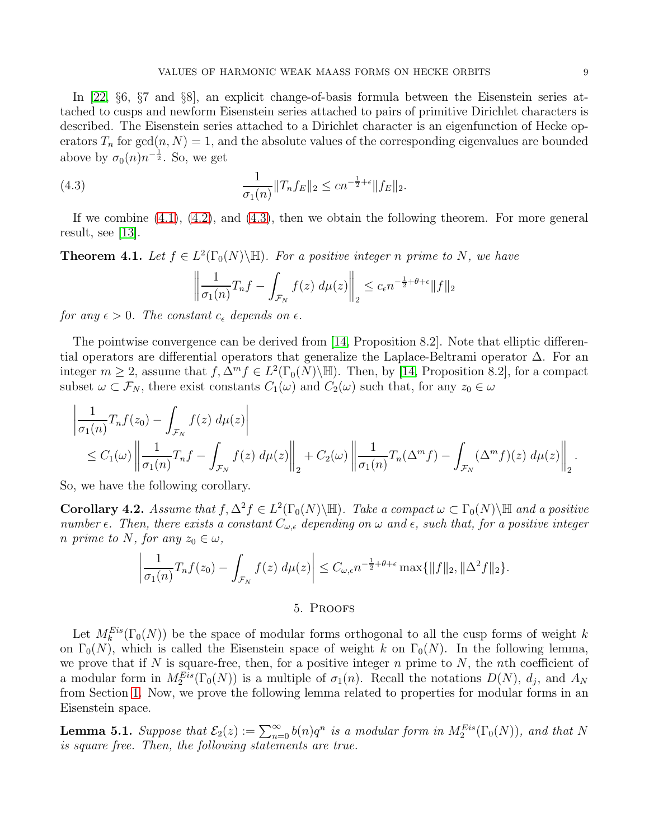In [\[22,](#page-16-10) §6, §7 and §8], an explicit change-of-basis formula between the Eisenstein series attached to cusps and newform Eisenstein series attached to pairs of primitive Dirichlet characters is described. The Eisenstein series attached to a Dirichlet character is an eigenfunction of Hecke operators  $T_n$  for  $gcd(n, N) = 1$ , and the absolute values of the corresponding eigenvalues are bounded above by  $\sigma_0(n)n^{-\frac{1}{2}}$ . So, we get

(4.3) 
$$
\frac{1}{\sigma_1(n)} \|T_n f_E\|_2 \leq c n^{-\frac{1}{2} + \epsilon} \|f_E\|_2.
$$

If we combine  $(4.1)$ ,  $(4.2)$ , and  $(4.3)$ , then we obtain the following theorem. For more general result, see [\[13\]](#page-16-0).

**Theorem 4.1.** Let  $f \in L^2(\Gamma_0(N) \backslash \mathbb{H})$ . For a positive integer n prime to N, we have

<span id="page-8-1"></span>
$$
\left\| \frac{1}{\sigma_1(n)} T_n f - \int_{\mathcal{F}_N} f(z) \, d\mu(z) \right\|_2 \le c_{\epsilon} n^{-\frac{1}{2} + \theta + \epsilon} \|f\|_2
$$

for any  $\epsilon > 0$ . The constant  $c_{\epsilon}$  depends on  $\epsilon$ .

The pointwise convergence can be derived from [\[14,](#page-16-1) Proposition 8.2]. Note that elliptic differential operators are differential operators that generalize the Laplace-Beltrami operator  $\Delta$ . For an integer  $m \geq 2$ , assume that  $f, \Delta^m f \in L^2(\Gamma_0(N)\backslash \mathbb{H})$ . Then, by [\[14,](#page-16-1) Proposition 8.2], for a compact subset  $\omega \subset \mathcal{F}_N$ , there exist constants  $C_1(\omega)$  and  $C_2(\omega)$  such that, for any  $z_0 \in \omega$ 

$$
\left|\frac{1}{\sigma_1(n)}T_n f(z_0) - \int_{\mathcal{F}_N} f(z) d\mu(z)\right|
$$
  
\n
$$
\leq C_1(\omega) \left\|\frac{1}{\sigma_1(n)}T_n f - \int_{\mathcal{F}_N} f(z) d\mu(z)\right\|_2 + C_2(\omega) \left\|\frac{1}{\sigma_1(n)}T_n(\Delta^m f) - \int_{\mathcal{F}_N} (\Delta^m f)(z) d\mu(z)\right\|_2.
$$

So, we have the following corollary.

<span id="page-8-3"></span>**Corollary 4.2.** Assume that  $f, \Delta^2 f \in L^2(\Gamma_0(N) \backslash \mathbb{H})$ . Take a compact  $\omega \subset \Gamma_0(N) \backslash \mathbb{H}$  and a positive number  $\epsilon$ . Then, there exists a constant  $C_{\omega,\epsilon}$  depending on  $\omega$  and  $\epsilon$ , such that, for a positive integer n prime to N, for any  $z_0 \in \omega$ ,

$$
\left|\frac{1}{\sigma_1(n)}T_n f(z_0) - \int_{\mathcal{F}_N} f(z) d\mu(z)\right| \leq C_{\omega,\epsilon} n^{-\frac{1}{2} + \theta + \epsilon} \max\{\|f\|_2, \|\Delta^2 f\|_2\}.
$$

#### 5. Proofs

<span id="page-8-0"></span>Let  $M_k^{Eis}(\Gamma_0(N))$  be the space of modular forms orthogonal to all the cusp forms of weight k on  $\Gamma_0(N)$ , which is called the Eisenstein space of weight k on  $\Gamma_0(N)$ . In the following lemma, we prove that if N is square-free, then, for a positive integer n prime to N, the nth coefficient of a modular form in  $M_2^{Eis}(\Gamma_0(N))$  is a multiple of  $\sigma_1(n)$ . Recall the notations  $D(N)$ ,  $d_j$ , and  $A_N$ from Section [1.](#page-0-0) Now, we prove the following lemma related to properties for modular forms in an Eisenstein space.

<span id="page-8-2"></span>**Lemma 5.1.** Suppose that  $\mathcal{E}_2(z) := \sum_{n=0}^{\infty} b(n)q^n$  is a modular form in  $M_2^{Eis}(\Gamma_0(N))$ , and that N is square free. Then, the following statements are true.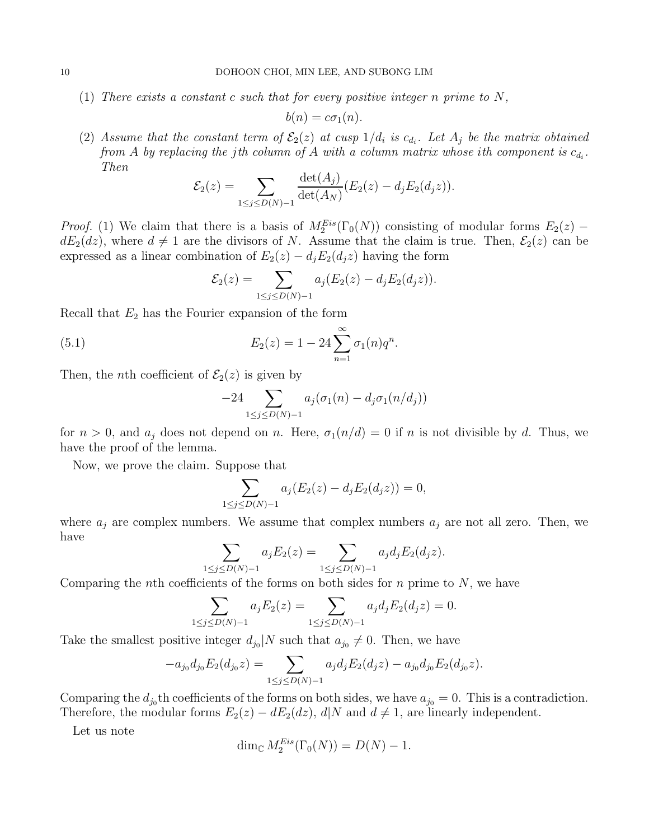(1) There exists a constant c such that for every positive integer n prime to  $N$ ,

$$
b(n) = c\sigma_1(n).
$$

(2) Assume that the constant term of  $\mathcal{E}_2(z)$  at cusp  $1/d_i$  is  $c_{d_i}$ . Let  $A_j$  be the matrix obtained from A by replacing the jth column of A with a column matrix whose ith component is  $c_{d_i}$ . Then

$$
\mathcal{E}_2(z) = \sum_{1 \le j \le D(N)-1} \frac{\det(A_j)}{\det(A_N)} (E_2(z) - d_j E_2(d_j z)).
$$

*Proof.* (1) We claim that there is a basis of  $M_2^{Eis}(\Gamma_0(N))$  consisting of modular forms  $E_2(z)$  –  $dE_2(dz)$ , where  $d \neq 1$  are the divisors of N. Assume that the claim is true. Then,  $\mathcal{E}_2(z)$  can be expressed as a linear combination of  $E_2(z) - d_j E_2(d_j z)$  having the form

$$
\mathcal{E}_2(z) = \sum_{1 \le j \le D(N)-1} a_j (E_2(z) - d_j E_2(d_j z)).
$$

Recall that  $E_2$  has the Fourier expansion of the form

(5.1) 
$$
E_2(z) = 1 - 24 \sum_{n=1}^{\infty} \sigma_1(n) q^n.
$$

Then, the *n*th coefficient of  $\mathcal{E}_2(z)$  is given by

<span id="page-9-0"></span>
$$
-24\sum_{1\leq j\leq D(N)-1}a_j(\sigma_1(n)-d_j\sigma_1(n/d_j))
$$

for  $n > 0$ , and  $a_j$  does not depend on n. Here,  $\sigma_1(n/d) = 0$  if n is not divisible by d. Thus, we have the proof of the lemma.

Now, we prove the claim. Suppose that

$$
\sum_{1 \le j \le D(N)-1} a_j (E_2(z) - d_j E_2(d_j z)) = 0,
$$

where  $a_j$  are complex numbers. We assume that complex numbers  $a_j$  are not all zero. Then, we have

$$
\sum_{1 \le j \le D(N)-1} a_j E_2(z) = \sum_{1 \le j \le D(N)-1} a_j d_j E_2(d_j z).
$$

Comparing the *n*th coefficients of the forms on both sides for *n* prime to  $N$ , we have

$$
\sum_{1 \le j \le D(N)-1} a_j E_2(z) = \sum_{1 \le j \le D(N)-1} a_j d_j E_2(d_j z) = 0.
$$

Take the smallest positive integer  $d_{j_0}|N$  such that  $a_{j_0}\neq 0$ . Then, we have

$$
-a_{j_0}d_{j_0}E_2(d_{j_0}z) = \sum_{1 \le j \le D(N)-1} a_j d_j E_2(d_j z) - a_{j_0}d_{j_0}E_2(d_{j_0}z).
$$

Comparing the  $d_{j_0}$ <sup>th</sup> coefficients of the forms on both sides, we have  $a_{j_0} = 0$ . This is a contradiction. Therefore, the modular forms  $E_2(z) - dE_2(dz)$ ,  $d|N$  and  $d \neq 1$ , are linearly independent.

Let us note

$$
\dim_{\mathbb{C}} M_2^{Eis}(\Gamma_0(N)) = D(N) - 1.
$$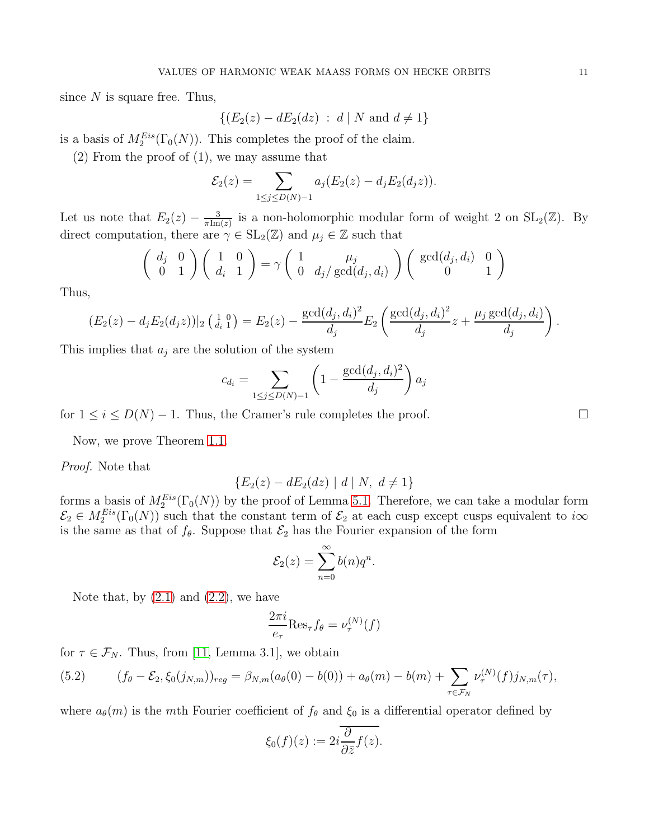since  $N$  is square free. Thus,

$$
\{(E_2(z) - dE_2(dz) : d \mid N \text{ and } d \neq 1\}
$$

is a basis of  $M_2^{Eis}(\Gamma_0(N))$ . This completes the proof of the claim.

(2) From the proof of (1), we may assume that

$$
\mathcal{E}_2(z) = \sum_{1 \le j \le D(N)-1} a_j (E_2(z) - d_j E_2(d_j z)).
$$

Let us note that  $E_2(z) - \frac{3}{\pi \text{Im}}$  $\frac{3}{\pi \text{Im}(z)}$  is a non-holomorphic modular form of weight 2 on  $SL_2(\mathbb{Z})$ . By direct computation, there are  $\gamma \in SL_2(\mathbb{Z})$  and  $\mu_j \in \mathbb{Z}$  such that

$$
\begin{pmatrix} d_j & 0 \\ 0 & 1 \end{pmatrix} \begin{pmatrix} 1 & 0 \\ d_i & 1 \end{pmatrix} = \gamma \begin{pmatrix} 1 & \mu_j \\ 0 & d_j/\gcd(d_j, d_i) \end{pmatrix} \begin{pmatrix} \gcd(d_j, d_i) & 0 \\ 0 & 1 \end{pmatrix}
$$

Thus,

$$
(E_2(z) - d_j E_2(d_j z))|_2\left(\begin{matrix}1 & 0\\ d_i & 1\end{matrix}\right) = E_2(z) - \frac{\gcd(d_j, d_i)^2}{d_j} E_2\left(\frac{\gcd(d_j, d_i)^2}{d_j}z + \frac{\mu_j \gcd(d_j, d_i)}{d_j}\right).
$$

This implies that  $a_j$  are the solution of the system

$$
c_{d_i} = \sum_{1 \le j \le D(N)-1} \left(1 - \frac{\gcd(d_j, d_i)^2}{d_j}\right) a_j
$$

for  $1 \leq i \leq D(N) - 1$ . Thus, the Cramer's rule completes the proof.

Now, we prove Theorem [1.1.](#page-3-0)

Proof. Note that

$$
\{E_2(z) - dE_2(dz) \mid d \mid N, \ d \neq 1\}
$$

forms a basis of  $M_2^{Eis}(\Gamma_0(N))$  by the proof of Lemma [5.1.](#page-8-2) Therefore, we can take a modular form  $\mathcal{E}_2 \in M_2^{Eis}(\Gamma_0(N))$  such that the constant term of  $\mathcal{E}_2$  at each cusp except cusps equivalent to  $i\infty$ is the same as that of  $f_{\theta}$ . Suppose that  $\mathcal{E}_2$  has the Fourier expansion of the form

$$
\mathcal{E}_2(z) = \sum_{n=0}^{\infty} b(n)q^n.
$$

Note that, by  $(2.1)$  and  $(2.2)$ , we have

$$
\frac{2\pi i}{e_{\tau}} \text{Res}_{\tau} f_{\theta} = \nu_{\tau}^{(N)}(f)
$$

for  $\tau \in \mathcal{F}_N$ . Thus, from [\[11,](#page-15-4) Lemma 3.1], we obtain

<span id="page-10-0"></span>(5.2) 
$$
(f_{\theta} - \mathcal{E}_{2}, \xi_{0}(j_{N,m}))_{reg} = \beta_{N,m}(a_{\theta}(0) - b(0)) + a_{\theta}(m) - b(m) + \sum_{\tau \in \mathcal{F}_{N}} \nu_{\tau}^{(N)}(f)j_{N,m}(\tau),
$$

where  $a_{\theta}(m)$  is the mth Fourier coefficient of  $f_{\theta}$  and  $\xi_0$  is a differential operator defined by

$$
\xi_0(f)(z) := 2i \frac{\partial}{\partial \bar{z}} f(z).
$$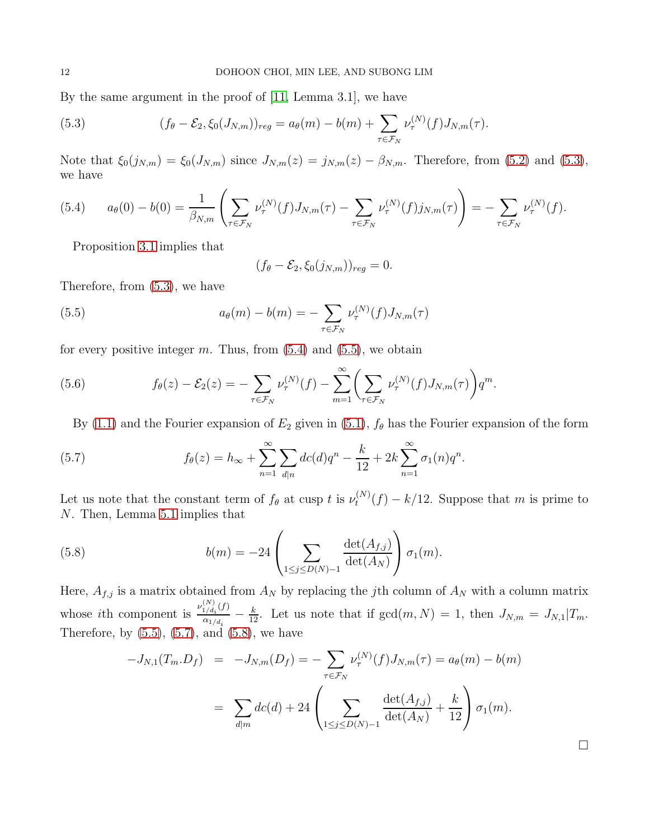By the same argument in the proof of [\[11,](#page-15-4) Lemma 3.1], we have

<span id="page-11-0"></span>(5.3) 
$$
(f_{\theta} - \mathcal{E}_{2}, \xi_{0}(J_{N,m}))_{reg} = a_{\theta}(m) - b(m) + \sum_{\tau \in \mathcal{F}_{N}} \nu_{\tau}^{(N)}(f) J_{N,m}(\tau).
$$

Note that  $\xi_0(j_{N,m}) = \xi_0(J_{N,m})$  since  $J_{N,m}(z) = j_{N,m}(z) - \beta_{N,m}$ . Therefore, from [\(5.2\)](#page-10-0) and [\(5.3\)](#page-11-0), we have

<span id="page-11-1"></span>
$$
(5.4) \qquad a_{\theta}(0) - b(0) = \frac{1}{\beta_{N,m}} \left( \sum_{\tau \in \mathcal{F}_N} \nu_{\tau}^{(N)}(f) J_{N,m}(\tau) - \sum_{\tau \in \mathcal{F}_N} \nu_{\tau}^{(N)}(f) j_{N,m}(\tau) \right) = - \sum_{\tau \in \mathcal{F}_N} \nu_{\tau}^{(N)}(f).
$$

Proposition [3.1](#page-5-2) implies that

<span id="page-11-2"></span>
$$
(f_{\theta}-\mathcal{E}_2,\xi_0(j_{N,m}))_{reg}=0.
$$

Therefore, from [\(5.3\)](#page-11-0), we have

(5.5) 
$$
a_{\theta}(m) - b(m) = -\sum_{\tau \in \mathcal{F}_N} \nu_{\tau}^{(N)}(f) J_{N,m}(\tau)
$$

for every positive integer m. Thus, from  $(5.4)$  and  $(5.5)$ , we obtain

(5.6) 
$$
f_{\theta}(z) - \mathcal{E}_{2}(z) = -\sum_{\tau \in \mathcal{F}_{N}} \nu_{\tau}^{(N)}(f) - \sum_{m=1}^{\infty} \left( \sum_{\tau \in \mathcal{F}_{N}} \nu_{\tau}^{(N)}(f) J_{N,m}(\tau) \right) q^{m}.
$$

<span id="page-11-3"></span>By [\(1.1\)](#page-3-1) and the Fourier expansion of  $E_2$  given in [\(5.1\)](#page-9-0),  $f_\theta$  has the Fourier expansion of the form

(5.7) 
$$
f_{\theta}(z) = h_{\infty} + \sum_{n=1}^{\infty} \sum_{d|n} dc(d)q^{n} - \frac{k}{12} + 2k \sum_{n=1}^{\infty} \sigma_1(n)q^{n}.
$$

Let us note that the constant term of  $f_{\theta}$  at cusp t is  $\nu_t^{(N)}$  $t_t^{(N)}(f) - k/12$ . Suppose that m is prime to N. Then, Lemma [5.1](#page-8-2) implies that

(5.8) 
$$
b(m) = -24 \left( \sum_{1 \le j \le D(N)-1} \frac{\det(A_{f,j})}{\det(A_N)} \right) \sigma_1(m).
$$

Here,  $A_{f,j}$  is a matrix obtained from  $A_N$  by replacing the jth column of  $A_N$  with a column matrix whose *i*th component is  $\frac{\nu_{1/d_i}^{(N)}(f)}{N}$  $\frac{d_1/d_i(J)}{\alpha_{1/d_i}} - \frac{k}{12}$ . Let us note that if  $gcd(m, N) = 1$ , then  $J_{N,m} = J_{N,1}|T_m$ . Therefore, by  $(5.5)$ ,  $(5.7)$ , and  $(5.8)$ , we have

<span id="page-11-4"></span>
$$
-J_{N,1}(T_m.D_f) = -J_{N,m}(D_f) = -\sum_{\tau \in \mathcal{F}_N} \nu_{\tau}^{(N)}(f) J_{N,m}(\tau) = a_{\theta}(m) - b(m)
$$

$$
= \sum_{d|m} dc(d) + 24 \left( \sum_{1 \le j \le D(N)-1} \frac{\det(A_{f,j})}{\det(A_N)} + \frac{k}{12} \right) \sigma_1(m).
$$

 $\Box$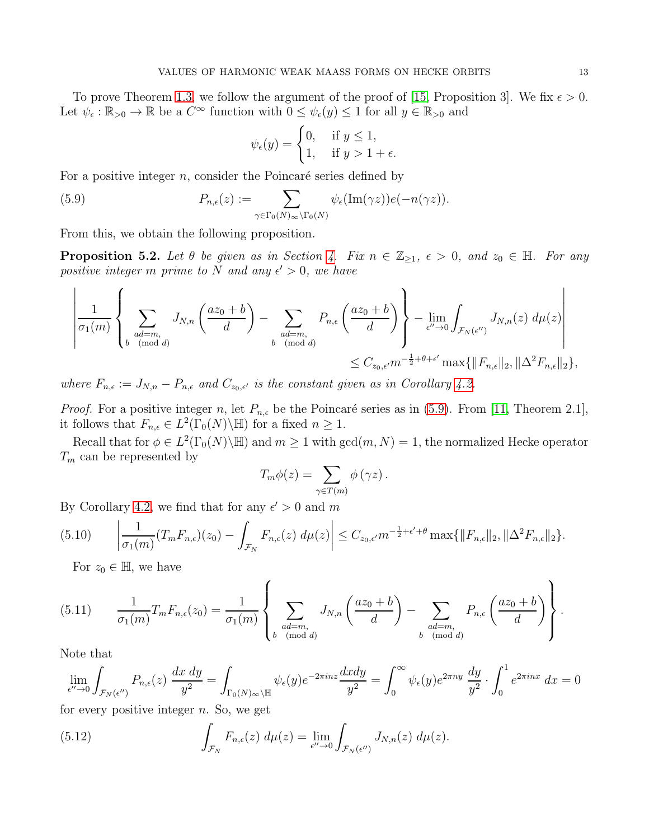To prove Theorem [1.3,](#page-3-2) we follow the argument of the proof of [\[15,](#page-16-7) Proposition 3]. We fix  $\epsilon > 0$ . Let  $\psi_{\epsilon} : \mathbb{R}_{>0} \to \mathbb{R}$  be a  $C^{\infty}$  function with  $0 \leq \psi_{\epsilon}(y) \leq 1$  for all  $y \in \mathbb{R}_{>0}$  and

<span id="page-12-0"></span>
$$
\psi_{\epsilon}(y) = \begin{cases} 0, & \text{if } y \le 1, \\ 1, & \text{if } y > 1 + \epsilon. \end{cases}
$$

For a positive integer  $n$ , consider the Poincaré series defined by

(5.9) 
$$
P_{n,\epsilon}(z) := \sum_{\gamma \in \Gamma_0(N)_{\infty} \backslash \Gamma_0(N)} \psi_{\epsilon}(\text{Im}(\gamma z)) e(-n(\gamma z)).
$$

From this, we obtain the following proposition.

<span id="page-12-4"></span>**Proposition 5.2.** Let  $\theta$  be given as in Section [4.](#page-7-0) Fix  $n \in \mathbb{Z}_{\geq 1}$ ,  $\epsilon > 0$ , and  $z_0 \in \mathbb{H}$ . For any positive integer m prime to N and any  $\epsilon' > 0$ , we have

$$
\left|\frac{1}{\sigma_1(m)}\left\{\sum_{\substack{ad=m,\\b\pmod{d}}}J_{N,n}\left(\frac{az_0+b}{d}\right)-\sum_{\substack{ad=m,\\b\pmod{d}}}P_{n,\epsilon}\left(\frac{az_0+b}{d}\right)\right\}-\lim_{\epsilon''\to 0}\int_{\mathcal{F}_N(\epsilon'')}J_{N,n}(z)\ d\mu(z)\right|\right|
$$
  

$$
\leq C_{z_0,\epsilon'}m^{-\frac{1}{2}+\theta+\epsilon'}\max\{\|F_{n,\epsilon}\|_2,\|\Delta^2F_{n,\epsilon}\|_2\},
$$

where  $F_{n,\epsilon} := J_{N,n} - P_{n,\epsilon}$  and  $C_{z_0,\epsilon'}$  is the constant given as in Corollary [4.2.](#page-8-3)

*Proof.* For a positive integer n, let  $P_{n,\epsilon}$  be the Poincaré series as in [\(5.9\)](#page-12-0). From [\[11,](#page-15-4) Theorem 2.1], it follows that  $F_{n,\epsilon} \in L^2(\Gamma_0(N)\backslash \mathbb{H})$  for a fixed  $n \geq 1$ .

Recall that for  $\phi \in L^2(\Gamma_0(N)\backslash\mathbb{H})$  and  $m\geq 1$  with  $\gcd(m,N)=1$ , the normalized Hecke operator  $\mathcal{T}_m$  can be represented by

$$
T_m \phi(z) = \sum_{\gamma \in T(m)} \phi(\gamma z).
$$

By Corollary [4.2,](#page-8-3) we find that for any  $\epsilon' > 0$  and m

<span id="page-12-1"></span>
$$
(5.10) \qquad \left|\frac{1}{\sigma_1(m)}(T_m F_{n,\epsilon})(z_0) - \int_{\mathcal{F}_N} F_{n,\epsilon}(z) \, d\mu(z)\right| \leq C_{z_0,\epsilon'} m^{-\frac{1}{2}+\epsilon'+\theta} \max\{\|F_{n,\epsilon}\|_2, \|\Delta^2 F_{n,\epsilon}\|_2\}.
$$

<span id="page-12-2"></span>For  $z_0 \in \mathbb{H}$ , we have

(5.11) 
$$
\frac{1}{\sigma_1(m)} T_m F_{n,\epsilon}(z_0) = \frac{1}{\sigma_1(m)} \left\{ \sum_{\substack{ad=m, \\ b \pmod{d}}} J_{N,n} \left( \frac{az_0 + b}{d} \right) - \sum_{\substack{ad=m, \\ b \pmod{d}}} P_{n,\epsilon} \left( \frac{az_0 + b}{d} \right) \right\}.
$$

Note that

$$
\lim_{\epsilon'' \to 0} \int_{\mathcal{F}_N(\epsilon'')} P_{n,\epsilon}(z) \frac{dx \, dy}{y^2} = \int_{\Gamma_0(N)_{\infty} \backslash \mathbb{H}} \psi_{\epsilon}(y) e^{-2\pi i n z} \frac{dx dy}{y^2} = \int_0^{\infty} \psi_{\epsilon}(y) e^{2\pi n y} \frac{dy}{y^2} \cdot \int_0^1 e^{2\pi i n x} dx = 0
$$

for every positive integer  $n$ . So, we get

<span id="page-12-3"></span>(5.12) 
$$
\int_{\mathcal{F}_N} F_{n,\epsilon}(z) d\mu(z) = \lim_{\epsilon'' \to 0} \int_{\mathcal{F}_N(\epsilon'')} J_{N,n}(z) d\mu(z).
$$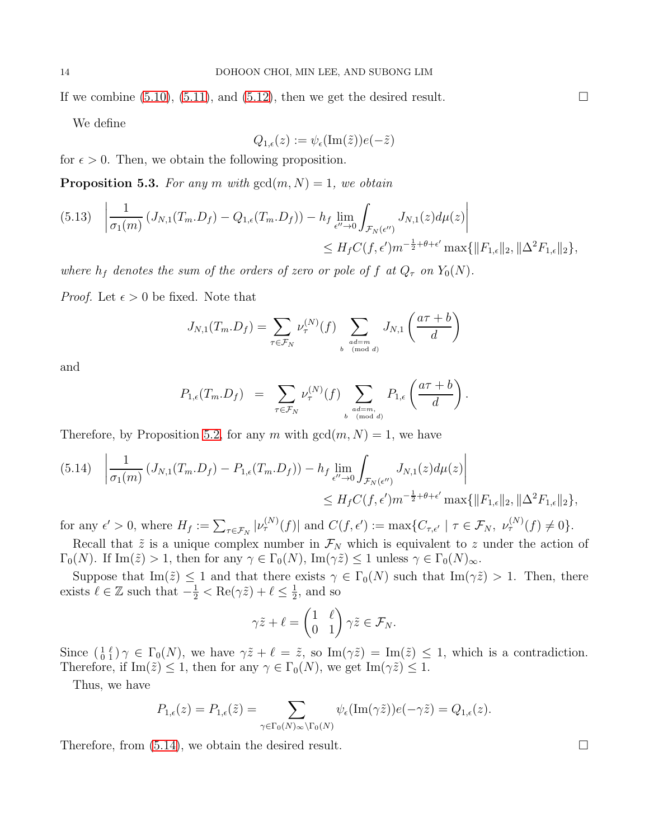If we combine  $(5.10)$ ,  $(5.11)$ , and  $(5.12)$ , then we get the desired result.

We define

$$
Q_{1,\epsilon}(z) := \psi_{\epsilon}(\text{Im}(\tilde{z}))e(-\tilde{z})
$$

for  $\epsilon > 0$ . Then, we obtain the following proposition.

<span id="page-13-1"></span>**Proposition 5.3.** For any m with  $gcd(m, N) = 1$ , we obtain

$$
(5.13) \quad \left| \frac{1}{\sigma_1(m)} \left( J_{N,1}(T_m.D_f) - Q_{1,\epsilon}(T_m.D_f) \right) - h_f \lim_{\epsilon'' \to 0} \int_{\mathcal{F}_N(\epsilon'')} J_{N,1}(z) d\mu(z) \right|
$$
  

$$
\leq H_f C(f,\epsilon') m^{-\frac{1}{2} + \theta + \epsilon'} \max\{\|F_{1,\epsilon}\|_2, \|\Delta^2 F_{1,\epsilon}\|_2\},
$$

where  $h_f$  denotes the sum of the orders of zero or pole of f at  $Q_\tau$  on  $Y_0(N)$ .

*Proof.* Let  $\epsilon > 0$  be fixed. Note that

$$
J_{N,1}(T_m.D_f) = \sum_{\tau \in \mathcal{F}_N} \nu_{\tau}^{(N)}(f) \sum_{\substack{ad=m\\ b \pmod{d}}} J_{N,1}\left(\frac{a\tau + b}{d}\right)
$$

and

$$
P_{1,\epsilon}(T_m.D_f) = \sum_{\tau \in \mathcal{F}_N} \nu_{\tau}^{(N)}(f) \sum_{\substack{ad=m, \\ b \pmod{d}}} P_{1,\epsilon}\left(\frac{a\tau + b}{d}\right).
$$

Therefore, by Proposition [5.2,](#page-12-4) for any m with  $gcd(m, N) = 1$ , we have

<span id="page-13-0"></span>
$$
(5.14) \quad \left| \frac{1}{\sigma_1(m)} \left( J_{N,1}(T_m.D_f) - P_{1,\epsilon}(T_m.D_f) \right) - h_f \lim_{\epsilon'' \to 0} \int_{\mathcal{F}_N(\epsilon'')} J_{N,1}(z) d\mu(z) \right|
$$
  

$$
\leq H_f C(f,\epsilon') m^{-\frac{1}{2} + \theta + \epsilon'} \max\{\|F_{1,\epsilon}\|_2, \|\Delta^2 F_{1,\epsilon}\|_2\},
$$

for any  $\epsilon' > 0$ , where  $H_f := \sum_{\tau \in \mathcal{F}_N} |\nu_{\tau}^{(N)}(f)|$  and  $C(f, \epsilon') := \max\{C_{\tau, \epsilon'} | \tau \in \mathcal{F}_N, \nu_{\tau}^{(N)}(f) \neq 0\}.$ Recall that  $\tilde{z}$  is a unique complex number in  $\mathcal{F}_N$  which is equivalent to z under the action of

 $\Gamma_0(N)$ . If Im( $\tilde{z}$ ) > 1, then for any  $\gamma \in \Gamma_0(N)$ , Im( $\gamma \tilde{z}$ )  $\leq 1$  unless  $\gamma \in \Gamma_0(N)_{\infty}$ .

Suppose that  $\text{Im}(\tilde{z}) \leq 1$  and that there exists  $\gamma \in \Gamma_0(N)$  such that  $\text{Im}(\gamma \tilde{z}) > 1$ . Then, there exists  $\ell \in \mathbb{Z}$  such that  $-\frac{1}{2} < \text{Re}(\gamma \tilde{z}) + \ell \le \frac{1}{2}$  $\frac{1}{2}$ , and so

$$
\gamma \tilde{z} + \ell = \begin{pmatrix} 1 & \ell \\ 0 & 1 \end{pmatrix} \gamma \tilde{z} \in \mathcal{F}_N.
$$

Since  $\left(\begin{array}{c}1 \ell\\0 \end{array}\right)$   $\gamma \in \Gamma_0(N)$ , we have  $\gamma \tilde{z} + \ell = \tilde{z}$ , so  $\text{Im}(\gamma \tilde{z}) = \text{Im}(\tilde{z}) \leq 1$ , which is a contradiction. Therefore, if Im( $\tilde{z} \leq 1$ , then for any  $\gamma \in \Gamma_0(N)$ , we get Im( $\gamma \tilde{z} \leq 1$ .

Thus, we have

$$
P_{1,\epsilon}(z) = P_{1,\epsilon}(\tilde{z}) = \sum_{\gamma \in \Gamma_0(N)_{\infty} \backslash \Gamma_0(N)} \psi_{\epsilon}(\text{Im}(\gamma \tilde{z})) e(-\gamma \tilde{z}) = Q_{1,\epsilon}(z).
$$

Therefore, from  $(5.14)$ , we obtain the desired result.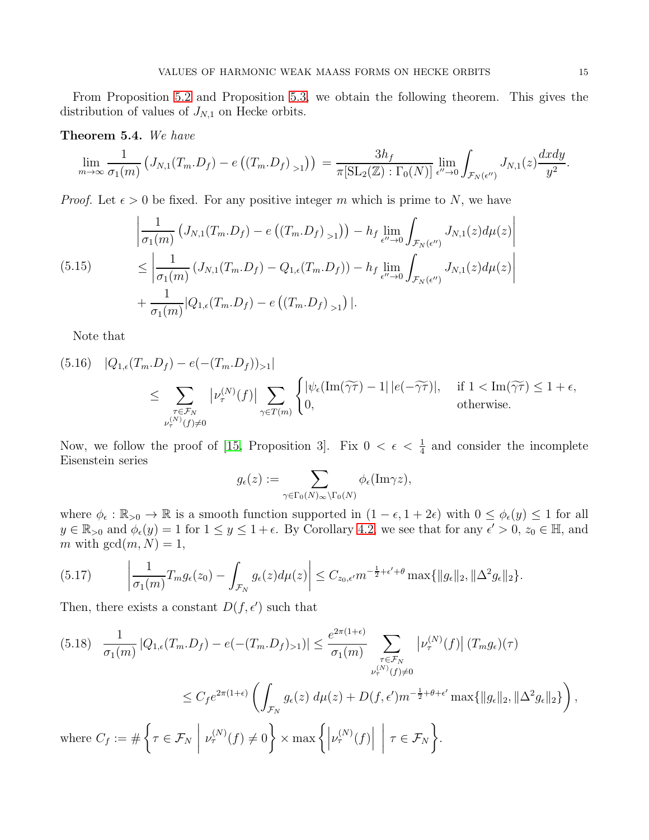From Proposition [5.2](#page-12-4) and Proposition [5.3,](#page-13-1) we obtain the following theorem. This gives the distribution of values of  $J_{N,1}$  on Hecke orbits.

# <span id="page-14-1"></span>Theorem 5.4. We have

$$
\lim_{m\to\infty}\frac{1}{\sigma_1(m)}\left(J_{N,1}(T_m.D_f) - e\left(\left(T_m.D_f\right)_{>1}\right)\right) = \frac{3h_f}{\pi[\mathrm{SL}_2(\mathbb{Z}) : \Gamma_0(N)]} \lim_{\epsilon''\to 0} \int_{\mathcal{F}_N(\epsilon'')} J_{N,1}(z) \frac{dxdy}{y^2}
$$

*Proof.* Let  $\epsilon > 0$  be fixed. For any positive integer m which is prime to N, we have

<span id="page-14-0"></span>
$$
\left| \frac{1}{\sigma_1(m)} \left( J_{N,1}(T_m, D_f) - e\left( (T_m, D_f)_{>1} \right) \right) - h_f \lim_{\epsilon'' \to 0} \int_{\mathcal{F}_N(\epsilon'')} J_{N,1}(z) d\mu(z) \right|
$$
\n
$$
\leq \left| \frac{1}{\sigma_1(m)} \left( J_{N,1}(T_m, D_f) - Q_{1,\epsilon}(T_m, D_f) \right) - h_f \lim_{\epsilon'' \to 0} \int_{\mathcal{F}_N(\epsilon'')} J_{N,1}(z) d\mu(z) \right|
$$
\n
$$
+ \frac{1}{\sigma_1(m)} |Q_{1,\epsilon}(T_m, D_f) - e\left( (T_m, D_f)_{>1} \right)|.
$$

Note that

(5.16) 
$$
|Q_{1,\epsilon}(T_m \cdot D_f) - e(-\langle T_m \cdot D_f \rangle)_{>1}|
$$
  
\n
$$
\leq \sum_{\substack{\tau \in \mathcal{F}_N \\ \nu_{\tau}^{(N)}(f) \neq 0}} |\nu_{\tau}^{(N)}(f)| \sum_{\gamma \in T(m)} \begin{cases} |\psi_{\epsilon}(\text{Im}(\widetilde{\gamma \tau}) - 1| |e(-\widetilde{\gamma \tau})|, & \text{if } 1 < \text{Im}(\widetilde{\gamma \tau}) \leq 1 + \epsilon, \\ 0, & \text{otherwise.} \end{cases}
$$

Now, we follow the proof of [\[15,](#page-16-7) Proposition 3]. Fix  $0 < \epsilon < \frac{1}{4}$  and consider the incomplete Eisenstein series

$$
g_{\epsilon}(z) := \sum_{\gamma \in \Gamma_0(N)_{\infty} \backslash \Gamma_0(N)} \phi_{\epsilon}(\text{Im}\gamma z),
$$

where  $\phi_{\epsilon} : \mathbb{R}_{>0} \to \mathbb{R}$  is a smooth function supported in  $(1 - \epsilon, 1 + 2\epsilon)$  with  $0 \leq \phi_{\epsilon}(y) \leq 1$  for all  $y \in \mathbb{R}_{>0}$  and  $\phi_{\epsilon}(y) = 1$  for  $1 \le y \le 1 + \epsilon$ . By Corollary [4.2,](#page-8-3) we see that for any  $\epsilon' > 0$ ,  $z_0 \in \mathbb{H}$ , and m with  $gcd(m, N) = 1$ ,

$$
(5.17) \qquad \left|\frac{1}{\sigma_1(m)}T_m g_\epsilon(z_0) - \int_{\mathcal{F}_N} g_\epsilon(z) d\mu(z)\right| \leq C_{z_0,\epsilon'} m^{-\frac{1}{2}+\epsilon'+\theta} \max\{\|g_\epsilon\|_2, \|\Delta^2 g_\epsilon\|_2\}.
$$

Then, there exists a constant  $D(f, \epsilon')$  such that

$$
(5.18) \frac{1}{\sigma_1(m)} |Q_{1,\epsilon}(T_m, D_f) - e(- (T_m, D_f)_{>1})| \leq \frac{e^{2\pi(1+\epsilon)}}{\sigma_1(m)} \sum_{\substack{\tau \in \mathcal{F}_N \\ \nu_\tau^{(N)}(f) \neq 0}} |\nu_\tau^{(N)}(f)| (T_m g_\epsilon)(\tau)
$$
  

$$
\leq C_f e^{2\pi(1+\epsilon)} \left( \int_{\mathcal{F}_N} g_\epsilon(z) d\mu(z) + D(f, \epsilon') m^{-\frac{1}{2} + \theta + \epsilon'} \max\{||g_\epsilon||_2, ||\Delta^2 g_\epsilon||_2\} \right),
$$
  
where  $C_f := \#\left\{ \tau \in \mathcal{F}_N \middle| \nu_\tau^{(N)}(f) \neq 0 \right\} \times \max\left\{ \left| \nu_\tau^{(N)}(f) \right| \middle| \tau \in \mathcal{F}_N \right\}.$ 

.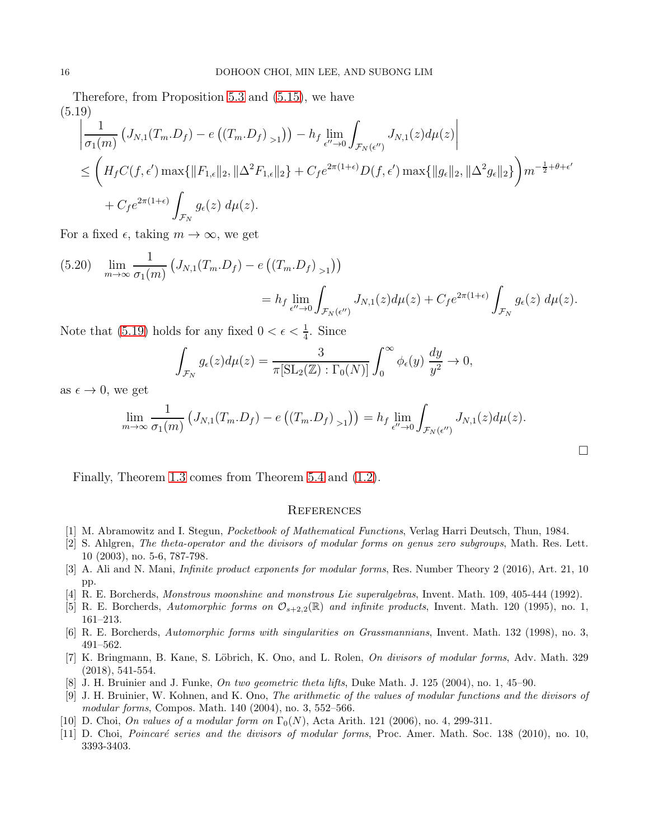Therefore, from Proposition [5.3](#page-13-1) and [\(5.15\)](#page-14-0), we have (5.19)

<span id="page-15-9"></span>
$$
\left| \frac{1}{\sigma_1(m)} \left( J_{N,1}(T_m \cdot D_f) - e\left( \left( T_m \cdot D_f \right)_{>1} \right) \right) - h_f \lim_{\epsilon'' \to 0} \int_{\mathcal{F}_N(\epsilon'')} J_{N,1}(z) d\mu(z) \right|
$$
  
\n
$$
\leq \left( H_f C(f, \epsilon') \max\{ \|F_{1,\epsilon}\|_2, \|\Delta^2 F_{1,\epsilon}\|_2 \} + C_f e^{2\pi (1+\epsilon)} D(f, \epsilon') \max\{ \|g_{\epsilon}\|_2, \|\Delta^2 g_{\epsilon}\|_2 \} \right) m^{-\frac{1}{2} + \theta + \epsilon'}
$$
  
\n
$$
+ C_f e^{2\pi (1+\epsilon)} \int_{\mathcal{F}_N} g_{\epsilon}(z) d\mu(z).
$$

For a fixed  $\epsilon$ , taking  $m \to \infty$ , we get

$$
(5.20) \quad \lim_{m \to \infty} \frac{1}{\sigma_1(m)} \left( J_{N,1}(T_m, D_f) - e\left( \left(T_m, D_f\right)_{>1} \right) \right)
$$

$$
= h_f \lim_{\epsilon'' \to 0} \int_{\mathcal{F}_N(\epsilon'')} J_{N,1}(z) d\mu(z) + C_f e^{2\pi (1+\epsilon)} \int_{\mathcal{F}_N} g_{\epsilon}(z) d\mu(z).
$$

Note that [\(5.19\)](#page-15-9) holds for any fixed  $0 < \epsilon < \frac{1}{4}$ . Since

$$
\int_{\mathcal{F}_N} g_{\epsilon}(z) d\mu(z) = \frac{3}{\pi [\mathrm{SL}_2(\mathbb{Z}) : \Gamma_0(N)]} \int_0^\infty \phi_{\epsilon}(y) \frac{dy}{y^2} \to 0,
$$

as  $\epsilon \to 0$ , we get

$$
\lim_{m\to\infty}\frac{1}{\sigma_1(m)}\left(J_{N,1}(T_m.D_f)-e\left(\left(T_m.D_f\right)_{>1}\right)\right)=h_f\lim_{\epsilon''\to 0}\int_{\mathcal{F}_N(\epsilon'')}J_{N,1}(z)d\mu(z).
$$

 $\Box$ 

Finally, Theorem [1.3](#page-3-2) comes from Theorem [5.4](#page-14-1) and [\(1.2\)](#page-3-3).

### **REFERENCES**

- <span id="page-15-6"></span><span id="page-15-3"></span>[1] M. Abramowitz and I. Stegun, *Pocketbook of Mathematical Functions*, Verlag Harri Deutsch, Thun, 1984.
- [2] S. Ahlgren, *The theta-operator and the divisors of modular forms on genus zero subgroups*, Math. Res. Lett. 10 (2003), no. 5-6, 787-798.
- <span id="page-15-7"></span>[3] A. Ali and N. Mani, *Infinite product exponents for modular forms*, Res. Number Theory 2 (2016), Art. 21, 10 pp.
- <span id="page-15-1"></span><span id="page-15-0"></span>[4] R. E. Borcherds, *Monstrous moonshine and monstrous Lie superalgebras*, Invent. Math. 109, 405-444 (1992).
- <span id="page-15-8"></span>[5] R. E. Borcherds, *Automorphic forms on* O<sup>s</sup>+2,2(R) *and infinite products*, Invent. Math. 120 (1995), no. 1, 161–213.
- <span id="page-15-5"></span>[6] R. E. Borcherds, *Automorphic forms with singularities on Grassmannians*, Invent. Math. 132 (1998), no. 3, 491–562.
- [7] K. Bringmann, B. Kane, S. Löbrich, K. Ono, and L. Rolen, *On divisors of modular forms*, Adv. Math. 329 (2018), 541-554.
- <span id="page-15-2"></span>[8] J. H. Bruinier and J. Funke, *On two geometric theta lifts*, Duke Math. J. 125 (2004), no. 1, 45–90.
- [9] J. H. Bruinier, W. Kohnen, and K. Ono, *The arithmetic of the values of modular functions and the divisors of modular forms*, Compos. Math. 140 (2004), no. 3, 552–566.
- <span id="page-15-4"></span>[10] D. Choi, *On values of a modular form on*  $\Gamma_0(N)$ , Acta Arith. 121 (2006), no. 4, 299-311.
- [11] D. Choi, *Poincaré series and the divisors of modular forms*, Proc. Amer. Math. Soc. 138 (2010), no. 10, 3393-3403.